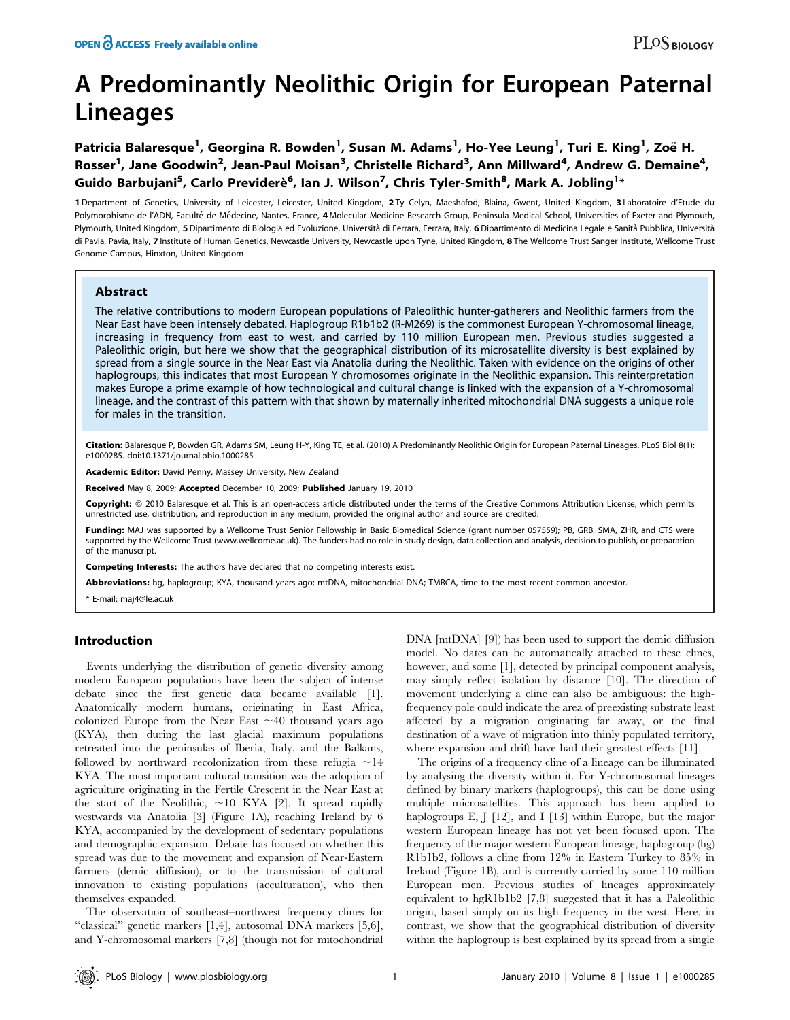# A Predominantly Neolithic Origin for European Paternal Lineages

Patricia Balaresque<sup>1</sup>, Georgina R. Bowden<sup>1</sup>, Susan M. Adams<sup>1</sup>, Ho-Yee Leung<sup>1</sup>, Turi E. King<sup>1</sup>, Zoë H. Rosser<sup>1</sup>, Jane Goodwin<sup>2</sup>, Jean-Paul Moisan<sup>3</sup>, Christelle Richard<sup>3</sup>, Ann Millward<sup>4</sup>, Andrew G. Demaine<sup>4</sup>, Guido Barbujani<sup>5</sup>, Carlo Previderè<sup>6</sup>, Ian J. Wilson<sup>7</sup>, Chris Tyler-Smith<sup>8</sup>, Mark A. Jobling<sup>1</sup>\*

1 Department of Genetics, University of Leicester, Leicester, United Kingdom, 2 Ty Celyn, Maeshafod, Blaina, Gwent, United Kingdom, 3 Laboratoire d'Etude du Polymorphisme de l'ADN, Faculté de Médecine, Nantes, France, 4 Molecular Medicine Research Group, Peninsula Medical School, Universities of Exeter and Plymouth, Plymouth, United Kingdom, 5 Dipartimento di Biologia ed Evoluzione, Università di Ferrara, Ferrara, Italy, 6 Dipartimento di Medicina Legale e Sanità Pubblica, Università di Pavia, Pavia, Italy, 7 Institute of Human Genetics, Newcastle University, Newcastle upon Tyne, United Kingdom, 8 The Wellcome Trust Sanger Institute, Wellcome Trust Genome Campus, Hinxton, United Kingdom

# Abstract

The relative contributions to modern European populations of Paleolithic hunter-gatherers and Neolithic farmers from the Near East have been intensely debated. Haplogroup R1b1b2 (R-M269) is the commonest European Y-chromosomal lineage, increasing in frequency from east to west, and carried by 110 million European men. Previous studies suggested a Paleolithic origin, but here we show that the geographical distribution of its microsatellite diversity is best explained by spread from a single source in the Near East via Anatolia during the Neolithic. Taken with evidence on the origins of other haplogroups, this indicates that most European Y chromosomes originate in the Neolithic expansion. This reinterpretation makes Europe a prime example of how technological and cultural change is linked with the expansion of a Y-chromosomal lineage, and the contrast of this pattern with that shown by maternally inherited mitochondrial DNA suggests a unique role for males in the transition.

Citation: Balaresque P, Bowden GR, Adams SM, Leung H-Y, King TE, et al. (2010) A Predominantly Neolithic Origin for European Paternal Lineages. PLoS Biol 8(1): e1000285. doi:10.1371/journal.pbio.1000285

Academic Editor: David Penny, Massey University, New Zealand

Received May 8, 2009; Accepted December 10, 2009; Published January 19, 2010

Copyright: © 2010 Balaresque et al. This is an open-access article distributed under the terms of the Creative Commons Attribution License, which permits unrestricted use, distribution, and reproduction in any medium, provided the original author and source are credited.

Funding: MAJ was supported by a Wellcome Trust Senior Fellowship in Basic Biomedical Science (grant number 057559); PB, GRB, SMA, ZHR, and CTS were supported by the Wellcome Trust (www.wellcome.ac.uk). The funders had no role in study design, data collection and analysis, decision to publish, or preparation of the manuscript.

Competing Interests: The authors have declared that no competing interests exist.

Abbreviations: hg, haplogroup; KYA, thousand years ago; mtDNA, mitochondrial DNA; TMRCA, time to the most recent common ancestor.

\* E-mail: maj4@le.ac.uk

# Introduction

Events underlying the distribution of genetic diversity among modern European populations have been the subject of intense debate since the first genetic data became available [1]. Anatomically modern humans, originating in East Africa, colonized Europe from the Near East  $\sim$  40 thousand years ago (KYA), then during the last glacial maximum populations retreated into the peninsulas of Iberia, Italy, and the Balkans, followed by northward recolonization from these refugia  $\sim$ 14 KYA. The most important cultural transition was the adoption of agriculture originating in the Fertile Crescent in the Near East at the start of the Neolithic,  $\sim$ 10 KYA [2]. It spread rapidly westwards via Anatolia [3] (Figure 1A), reaching Ireland by 6 KYA, accompanied by the development of sedentary populations and demographic expansion. Debate has focused on whether this spread was due to the movement and expansion of Near-Eastern farmers (demic diffusion), or to the transmission of cultural innovation to existing populations (acculturation), who then themselves expanded.

The observation of southeast–northwest frequency clines for ''classical'' genetic markers [1,4], autosomal DNA markers [5,6], and Y-chromosomal markers [7,8] (though not for mitochondrial DNA [mtDNA] [9]) has been used to support the demic diffusion model. No dates can be automatically attached to these clines, however, and some [1], detected by principal component analysis, may simply reflect isolation by distance [10]. The direction of movement underlying a cline can also be ambiguous: the highfrequency pole could indicate the area of preexisting substrate least affected by a migration originating far away, or the final destination of a wave of migration into thinly populated territory, where expansion and drift have had their greatest effects [11].

The origins of a frequency cline of a lineage can be illuminated by analysing the diversity within it. For Y-chromosomal lineages defined by binary markers (haplogroups), this can be done using multiple microsatellites. This approach has been applied to haplogroups E, J [12], and I [13] within Europe, but the major western European lineage has not yet been focused upon. The frequency of the major western European lineage, haplogroup (hg) R1b1b2, follows a cline from 12% in Eastern Turkey to 85% in Ireland (Figure 1B), and is currently carried by some 110 million European men. Previous studies of lineages approximately equivalent to hgR1b1b2 [7,8] suggested that it has a Paleolithic origin, based simply on its high frequency in the west. Here, in contrast, we show that the geographical distribution of diversity within the haplogroup is best explained by its spread from a single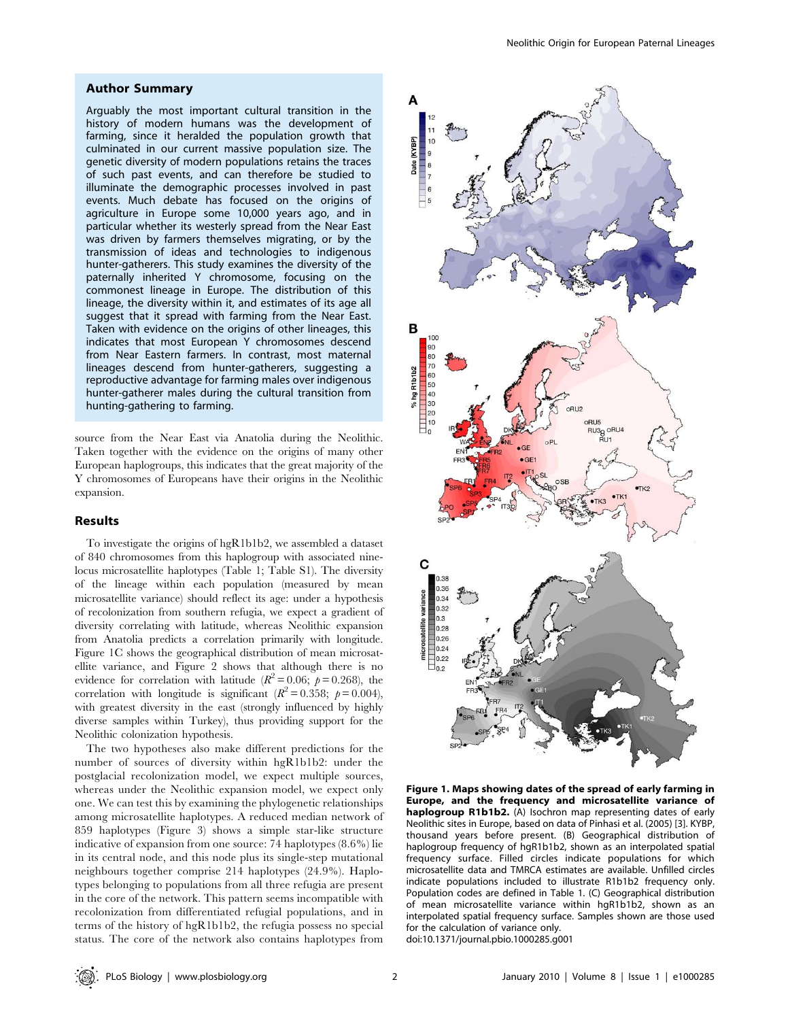# Author Summary

Arguably the most important cultural transition in the history of modern humans was the development of farming, since it heralded the population growth that culminated in our current massive population size. The genetic diversity of modern populations retains the traces of such past events, and can therefore be studied to illuminate the demographic processes involved in past events. Much debate has focused on the origins of agriculture in Europe some 10,000 years ago, and in particular whether its westerly spread from the Near East was driven by farmers themselves migrating, or by the transmission of ideas and technologies to indigenous hunter-gatherers. This study examines the diversity of the paternally inherited Y chromosome, focusing on the commonest lineage in Europe. The distribution of this lineage, the diversity within it, and estimates of its age all suggest that it spread with farming from the Near East. Taken with evidence on the origins of other lineages, this indicates that most European Y chromosomes descend from Near Eastern farmers. In contrast, most maternal lineages descend from hunter-gatherers, suggesting a reproductive advantage for farming males over indigenous hunter-gatherer males during the cultural transition from hunting-gathering to farming.

source from the Near East via Anatolia during the Neolithic. Taken together with the evidence on the origins of many other European haplogroups, this indicates that the great majority of the Y chromosomes of Europeans have their origins in the Neolithic expansion.

# Results

To investigate the origins of hgR1b1b2, we assembled a dataset of 840 chromosomes from this haplogroup with associated ninelocus microsatellite haplotypes (Table 1; Table S1). The diversity of the lineage within each population (measured by mean microsatellite variance) should reflect its age: under a hypothesis of recolonization from southern refugia, we expect a gradient of diversity correlating with latitude, whereas Neolithic expansion from Anatolia predicts a correlation primarily with longitude. Figure 1C shows the geographical distribution of mean microsatellite variance, and Figure 2 shows that although there is no evidence for correlation with latitude  $(R^2 = 0.06; p = 0.268)$ , the correlation with longitude is significant  $(R^2 = 0.358; p = 0.004)$ , with greatest diversity in the east (strongly influenced by highly diverse samples within Turkey), thus providing support for the Neolithic colonization hypothesis.

The two hypotheses also make different predictions for the number of sources of diversity within hgR1b1b2: under the postglacial recolonization model, we expect multiple sources, whereas under the Neolithic expansion model, we expect only one. We can test this by examining the phylogenetic relationships among microsatellite haplotypes. A reduced median network of 859 haplotypes (Figure 3) shows a simple star-like structure indicative of expansion from one source: 74 haplotypes (8.6%) lie in its central node, and this node plus its single-step mutational neighbours together comprise 214 haplotypes (24.9%). Haplotypes belonging to populations from all three refugia are present in the core of the network. This pattern seems incompatible with recolonization from differentiated refugial populations, and in terms of the history of hgR1b1b2, the refugia possess no special status. The core of the network also contains haplotypes from



Figure 1. Maps showing dates of the spread of early farming in Europe, and the frequency and microsatellite variance of haplogroup R1b1b2. (A) Isochron map representing dates of early Neolithic sites in Europe, based on data of Pinhasi et al. (2005) [3]. KYBP, thousand years before present. (B) Geographical distribution of haplogroup frequency of hgR1b1b2, shown as an interpolated spatial frequency surface. Filled circles indicate populations for which microsatellite data and TMRCA estimates are available. Unfilled circles indicate populations included to illustrate R1b1b2 frequency only. Population codes are defined in Table 1. (C) Geographical distribution of mean microsatellite variance within hgR1b1b2, shown as an interpolated spatial frequency surface. Samples shown are those used for the calculation of variance only.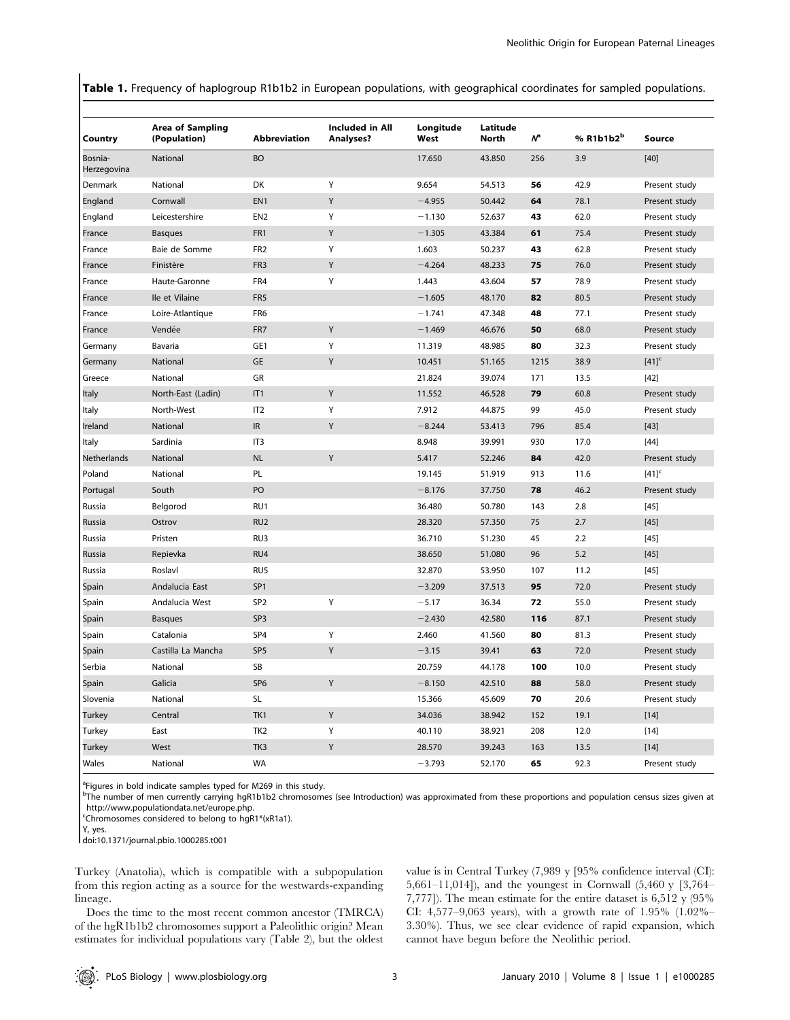Table 1. Frequency of haplogroup R1b1b2 in European populations, with geographical coordinates for sampled populations.

|                        | <b>Area of Sampling</b> |                     | <b>Included in All</b> | Longitude | Latitude     |                |                       |                     |
|------------------------|-------------------------|---------------------|------------------------|-----------|--------------|----------------|-----------------------|---------------------|
| Country                | (Population)            | <b>Abbreviation</b> | <b>Analyses?</b>       | West      | <b>North</b> | Ν <sup>a</sup> | % R1b1b2 <sup>b</sup> | Source              |
| Bosnia-<br>Herzegovina | National                | <b>BO</b>           |                        | 17.650    | 43.850       | 256            | 3.9                   | $[40]$              |
| Denmark                | National                | DK                  | Υ                      | 9.654     | 54.513       | 56             | 42.9                  | Present study       |
| England                | Cornwall                | EN <sub>1</sub>     | Υ                      | $-4.955$  | 50.442       | 64             | 78.1                  | Present study       |
| England                | Leicestershire          | EN <sub>2</sub>     | Υ                      | $-1.130$  | 52.637       | 43             | 62.0                  | Present study       |
| France                 | <b>Basques</b>          | FR1                 | Y                      | $-1.305$  | 43.384       | 61             | 75.4                  | Present study       |
| France                 | Baie de Somme           | FR <sub>2</sub>     | Υ                      | 1.603     | 50.237       | 43             | 62.8                  | Present study       |
| France                 | Finistère               | FR <sub>3</sub>     | Υ                      | $-4.264$  | 48.233       | 75             | 76.0                  | Present study       |
| France                 | Haute-Garonne           | FR4                 | Y                      | 1.443     | 43.604       | 57             | 78.9                  | Present study       |
| France                 | Ile et Vilaine          | FR <sub>5</sub>     |                        | $-1.605$  | 48.170       | 82             | 80.5                  | Present study       |
| France                 | Loire-Atlantique        | FR <sub>6</sub>     |                        | $-1.741$  | 47.348       | 48             | 77.1                  | Present study       |
| France                 | Vendée                  | FR <sub>7</sub>     | Y                      | $-1.469$  | 46.676       | 50             | 68.0                  | Present study       |
| Germany                | Bavaria                 | GE1                 | Υ                      | 11.319    | 48.985       | 80             | 32.3                  | Present study       |
| Germany                | National                | GE                  | Υ                      | 10.451    | 51.165       | 1215           | 38.9                  | $[41]$ <sup>c</sup> |
| Greece                 | National                | GR                  |                        | 21.824    | 39.074       | 171            | 13.5                  | $[42]$              |
| Italy                  | North-East (Ladin)      | IT1                 | Y                      | 11.552    | 46.528       | 79             | 60.8                  | Present study       |
| Italy                  | North-West              | IT <sub>2</sub>     | Y                      | 7.912     | 44.875       | 99             | 45.0                  | Present study       |
| Ireland                | National                | IR                  | Υ                      | $-8.244$  | 53.413       | 796            | 85.4                  | $[43]$              |
| Italy                  | Sardinia                | IT <sub>3</sub>     |                        | 8.948     | 39.991       | 930            | 17.0                  | $[44]$              |
| Netherlands            | <b>National</b>         | <b>NL</b>           | Y                      | 5.417     | 52.246       | 84             | 42.0                  | Present study       |
| Poland                 | National                | PL                  |                        | 19.145    | 51.919       | 913            | 11.6                  | $[41]$ <sup>c</sup> |
| Portugal               | South                   | PO                  |                        | $-8.176$  | 37.750       | 78             | 46.2                  | Present study       |
| Russia                 | Belgorod                | RU1                 |                        | 36.480    | 50.780       | 143            | 2.8                   | $[45]$              |
| Russia                 | Ostrov                  | RU <sub>2</sub>     |                        | 28.320    | 57.350       | 75             | 2.7                   | $[45]$              |
| Russia                 | Pristen                 | RU3                 |                        | 36.710    | 51.230       | 45             | 2.2                   | $[45]$              |
| Russia                 | Repievka                | RU4                 |                        | 38.650    | 51.080       | 96             | 5.2                   | $[45]$              |
| Russia                 | Roslavl                 | RU <sub>5</sub>     |                        | 32.870    | 53.950       | 107            | 11.2                  | $[45]$              |
| Spain                  | Andalucia East          | SP <sub>1</sub>     |                        | $-3.209$  | 37.513       | 95             | 72.0                  | Present study       |
| Spain                  | Andalucia West          | SP <sub>2</sub>     | Υ                      | $-5.17$   | 36.34        | 72             | 55.0                  | Present study       |
| Spain                  | <b>Basques</b>          | SP <sub>3</sub>     |                        | $-2.430$  | 42.580       | 116            | 87.1                  | Present study       |
| Spain                  | Catalonia               | SP4                 | Υ                      | 2.460     | 41.560       | 80             | 81.3                  | Present study       |
| Spain                  | Castilla La Mancha      | SP <sub>5</sub>     | Y                      | $-3.15$   | 39.41        | 63             | 72.0                  | Present study       |
| Serbia                 | National                | SB                  |                        | 20.759    | 44.178       | 100            | 10.0                  | Present study       |
| Spain                  | Galicia                 | SP <sub>6</sub>     | Υ                      | $-8.150$  | 42.510       | 88             | 58.0                  | Present study       |
| Slovenia               | National                | <b>SL</b>           |                        | 15.366    | 45.609       | 70             | 20.6                  | Present study       |
| <b>Turkey</b>          | Central                 | TK1                 | Y                      | 34.036    | 38.942       | 152            | 19.1                  | $[14]$              |
| Turkey                 | East                    | TK <sub>2</sub>     | Υ                      | 40.110    | 38.921       | 208            | 12.0                  | $[14]$              |
| <b>Turkey</b>          | West                    | TK <sub>3</sub>     | Υ                      | 28.570    | 39.243       | 163            | 13.5                  | $[14]$              |
| Wales                  | National                | <b>WA</b>           |                        | $-3.793$  | 52.170       | 65             | 92.3                  | Present study       |

<sup>a</sup>Figures in bold indicate samples typed for M269 in this study.

b The number of men currently carrying hgR1b1b2 chromosomes (see Introduction) was approximated from these proportions and population census sizes given at http://www.populationdata.net/europe.php.

c Chromosomes considered to belong to hgR1\*(xR1a1).

Y, yes. doi:10.1371/journal.pbio.1000285.t001

Turkey (Anatolia), which is compatible with a subpopulation from this region acting as a source for the westwards-expanding lineage.

Does the time to the most recent common ancestor (TMRCA) of the hgR1b1b2 chromosomes support a Paleolithic origin? Mean estimates for individual populations vary (Table 2), but the oldest value is in Central Turkey (7,989 y [95% confidence interval (CI): 5,661–11,014]), and the youngest in Cornwall (5,460 y [3,764– 7,777]). The mean estimate for the entire dataset is 6,512 y (95% CI: 4,577–9,063 years), with a growth rate of 1.95% (1.02%– 3.30%). Thus, we see clear evidence of rapid expansion, which cannot have begun before the Neolithic period.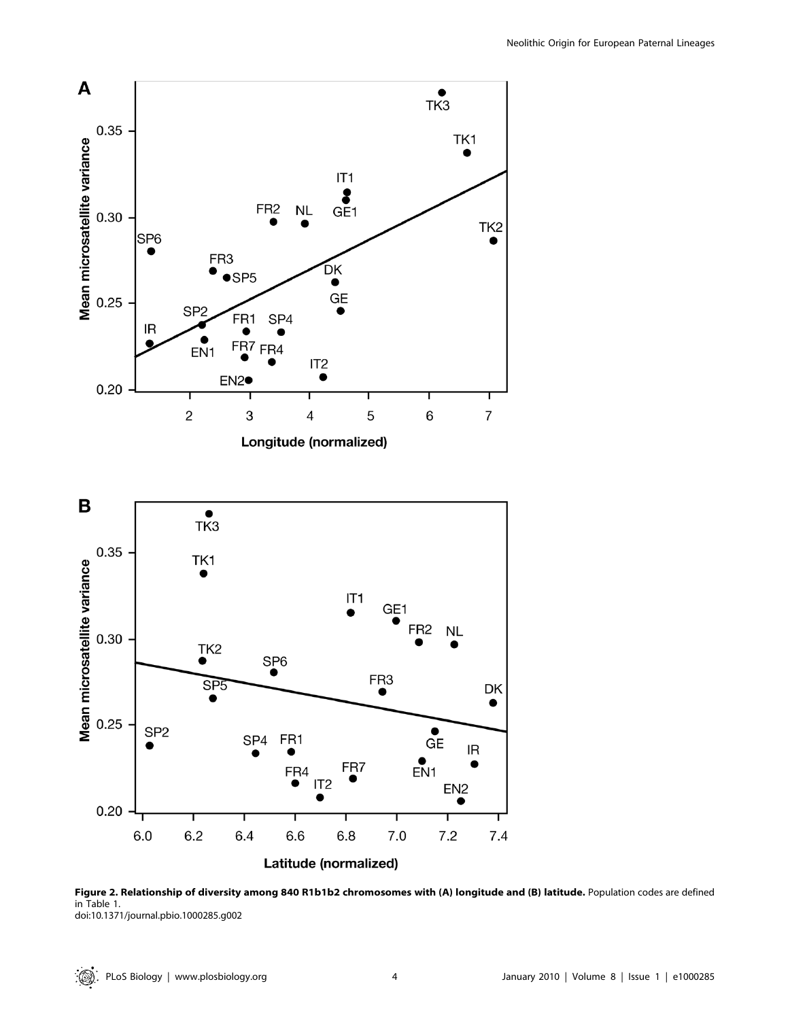

Figure 2. Relationship of diversity among 840 R1b1b2 chromosomes with (A) longitude and (B) latitude. Population codes are defined in Table 1. doi:10.1371/journal.pbio.1000285.g002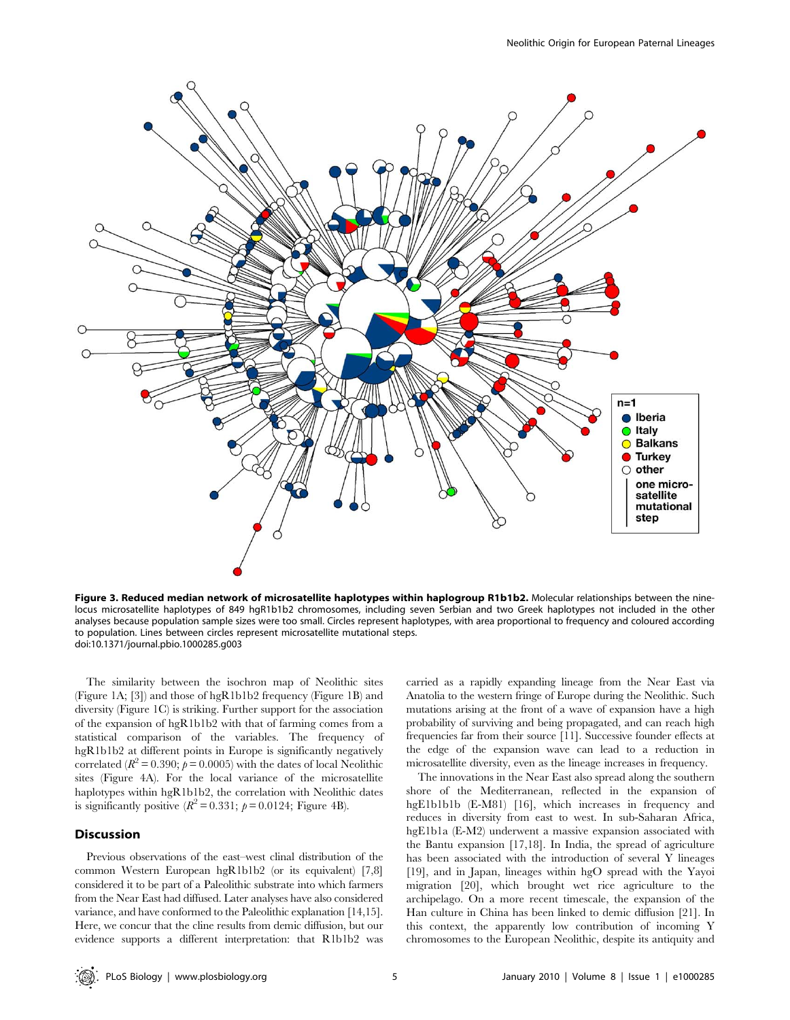

Figure 3. Reduced median network of microsatellite haplotypes within haplogroup R1b1b2. Molecular relationships between the ninelocus microsatellite haplotypes of 849 hgR1b1b2 chromosomes, including seven Serbian and two Greek haplotypes not included in the other analyses because population sample sizes were too small. Circles represent haplotypes, with area proportional to frequency and coloured according to population. Lines between circles represent microsatellite mutational steps. doi:10.1371/journal.pbio.1000285.g003

The similarity between the isochron map of Neolithic sites (Figure 1A; [3]) and those of hgR1b1b2 frequency (Figure 1B) and diversity (Figure 1C) is striking. Further support for the association of the expansion of hgR1b1b2 with that of farming comes from a statistical comparison of the variables. The frequency of hgR1b1b2 at different points in Europe is significantly negatively correlated ( $R^2 = 0.390$ ;  $p = 0.0005$ ) with the dates of local Neolithic sites (Figure 4A). For the local variance of the microsatellite haplotypes within hgR1b1b2, the correlation with Neolithic dates is significantly positive  $(R^2 = 0.331; \ p = 0.0124;$  Figure 4B).

# Discussion

Previous observations of the east–west clinal distribution of the common Western European hgR1b1b2 (or its equivalent) [7,8] considered it to be part of a Paleolithic substrate into which farmers from the Near East had diffused. Later analyses have also considered variance, and have conformed to the Paleolithic explanation [14,15]. Here, we concur that the cline results from demic diffusion, but our evidence supports a different interpretation: that R1b1b2 was carried as a rapidly expanding lineage from the Near East via Anatolia to the western fringe of Europe during the Neolithic. Such mutations arising at the front of a wave of expansion have a high probability of surviving and being propagated, and can reach high frequencies far from their source [11]. Successive founder effects at the edge of the expansion wave can lead to a reduction in microsatellite diversity, even as the lineage increases in frequency.

The innovations in the Near East also spread along the southern shore of the Mediterranean, reflected in the expansion of hgE1b1b1b (E-M81) [16], which increases in frequency and reduces in diversity from east to west. In sub-Saharan Africa, hgE1b1a (E-M2) underwent a massive expansion associated with the Bantu expansion [17,18]. In India, the spread of agriculture has been associated with the introduction of several Y lineages [19], and in Japan, lineages within hgO spread with the Yayoi migration [20], which brought wet rice agriculture to the archipelago. On a more recent timescale, the expansion of the Han culture in China has been linked to demic diffusion [21]. In this context, the apparently low contribution of incoming Y chromosomes to the European Neolithic, despite its antiquity and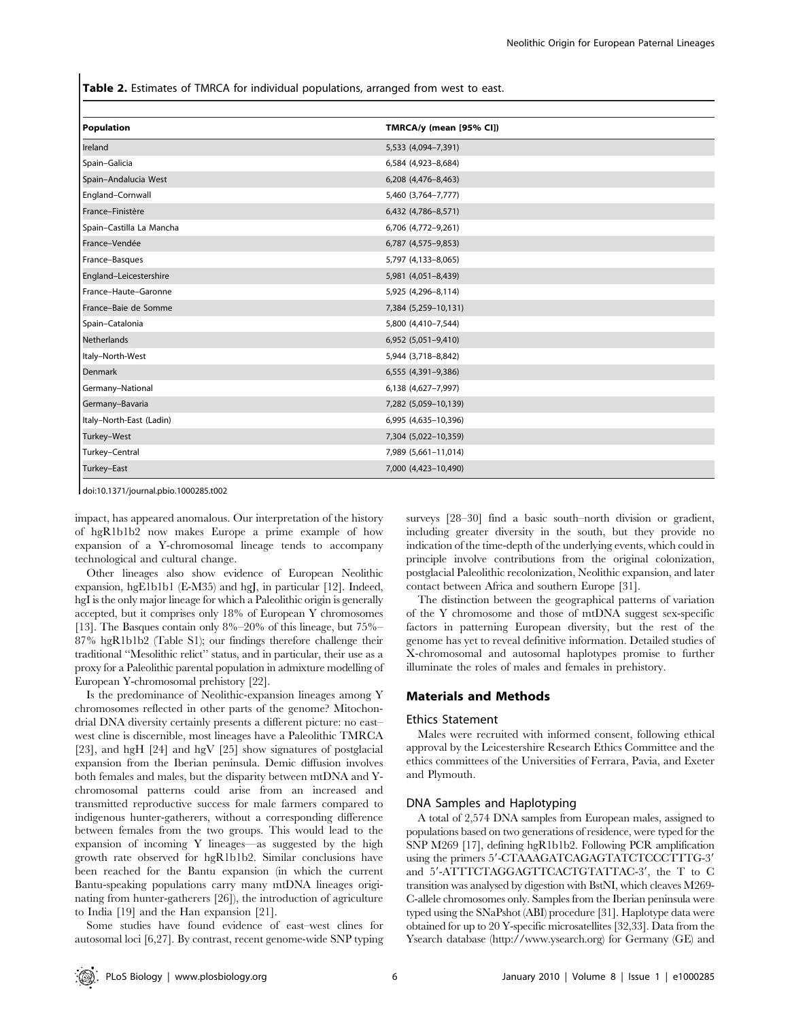Table 2. Estimates of TMRCA for individual populations, arranged from west to east.

| Population               | TMRCA/y (mean [95% CI]) |
|--------------------------|-------------------------|
| Ireland                  | 5,533 (4,094-7,391)     |
| Spain-Galicia            | 6,584 (4,923-8,684)     |
| Spain-Andalucia West     | 6,208 (4,476-8,463)     |
| England-Cornwall         | 5,460 (3,764-7,777)     |
| France-Finistère         | 6,432 (4,786-8,571)     |
| Spain-Castilla La Mancha | 6,706 (4,772-9,261)     |
| France-Vendée            | 6,787 (4,575-9,853)     |
| France-Basques           | 5,797 (4,133-8,065)     |
| England-Leicestershire   | 5,981 (4,051-8,439)     |
| France-Haute-Garonne     | 5,925 (4,296-8,114)     |
| France-Baie de Somme     | 7,384 (5,259-10,131)    |
| Spain-Catalonia          | 5,800 (4,410-7,544)     |
| Netherlands              | 6,952 (5,051-9,410)     |
| Italy-North-West         | 5,944 (3,718-8,842)     |
| Denmark                  | 6,555 (4,391-9,386)     |
| Germany-National         | 6,138 (4,627-7,997)     |
| Germany-Bavaria          | 7,282 (5,059-10,139)    |
| Italy-North-East (Ladin) | 6,995 (4,635-10,396)    |
| Turkey-West              | 7,304 (5,022-10,359)    |
| Turkey-Central           | 7,989 (5,661-11,014)    |
| Turkey-East              | 7,000 (4,423-10,490)    |
|                          |                         |

doi:10.1371/journal.pbio.1000285.t002

impact, has appeared anomalous. Our interpretation of the history of hgR1b1b2 now makes Europe a prime example of how expansion of a Y-chromosomal lineage tends to accompany technological and cultural change.

Other lineages also show evidence of European Neolithic expansion, hgE1b1b1 (E-M35) and hgJ, in particular [12]. Indeed, hgI is the only major lineage for which a Paleolithic origin is generally accepted, but it comprises only 18% of European Y chromosomes [13]. The Basques contain only 8%–20% of this lineage, but 75%– 87% hgR1b1b2 (Table S1); our findings therefore challenge their traditional ''Mesolithic relict'' status, and in particular, their use as a proxy for a Paleolithic parental population in admixture modelling of European Y-chromosomal prehistory [22].

Is the predominance of Neolithic-expansion lineages among Y chromosomes reflected in other parts of the genome? Mitochondrial DNA diversity certainly presents a different picture: no east– west cline is discernible, most lineages have a Paleolithic TMRCA [23], and hgH [24] and hgV [25] show signatures of postglacial expansion from the Iberian peninsula. Demic diffusion involves both females and males, but the disparity between mtDNA and Ychromosomal patterns could arise from an increased and transmitted reproductive success for male farmers compared to indigenous hunter-gatherers, without a corresponding difference between females from the two groups. This would lead to the expansion of incoming Y lineages—as suggested by the high growth rate observed for hgR1b1b2. Similar conclusions have been reached for the Bantu expansion (in which the current Bantu-speaking populations carry many mtDNA lineages originating from hunter-gatherers [26]), the introduction of agriculture to India [19] and the Han expansion [21].

Some studies have found evidence of east–west clines for autosomal loci [6,27]. By contrast, recent genome-wide SNP typing surveys [28–30] find a basic south–north division or gradient, including greater diversity in the south, but they provide no indication of the time-depth of the underlying events, which could in principle involve contributions from the original colonization, postglacial Paleolithic recolonization, Neolithic expansion, and later contact between Africa and southern Europe [31].

The distinction between the geographical patterns of variation of the Y chromosome and those of mtDNA suggest sex-specific factors in patterning European diversity, but the rest of the genome has yet to reveal definitive information. Detailed studies of X-chromosomal and autosomal haplotypes promise to further illuminate the roles of males and females in prehistory.

#### Materials and Methods

#### Ethics Statement

Males were recruited with informed consent, following ethical approval by the Leicestershire Research Ethics Committee and the ethics committees of the Universities of Ferrara, Pavia, and Exeter and Plymouth.

## DNA Samples and Haplotyping

A total of 2,574 DNA samples from European males, assigned to populations based on two generations of residence, were typed for the SNP M269 [17], defining hgR1b1b2. Following PCR amplification using the primers 5'-CTAAAGATCAGAGTATCTCCCTTTG-3' and  $5'$ -ATTTCTAGGAGTTCACTGTATTAC-3', the T to C transition was analysed by digestion with BstNI, which cleaves M269- C-allele chromosomes only. Samples from the Iberian peninsula were typed using the SNaPshot (ABI) procedure [31]. Haplotype data were obtained for up to 20 Y-specific microsatellites [32,33]. Data from the Ysearch database (http://www.ysearch.org) for Germany (GE) and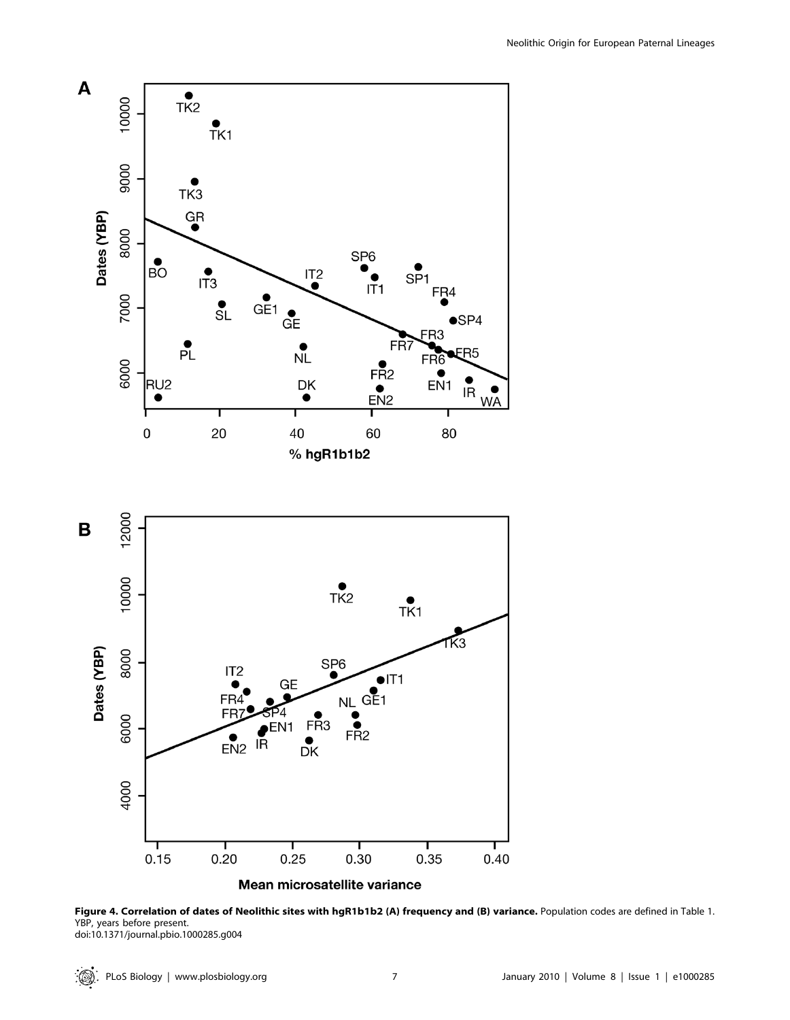

Figure 4. Correlation of dates of Neolithic sites with hgR1b1b2 (A) frequency and (B) variance. Population codes are defined in Table 1. YBP, years before present. doi:10.1371/journal.pbio.1000285.g004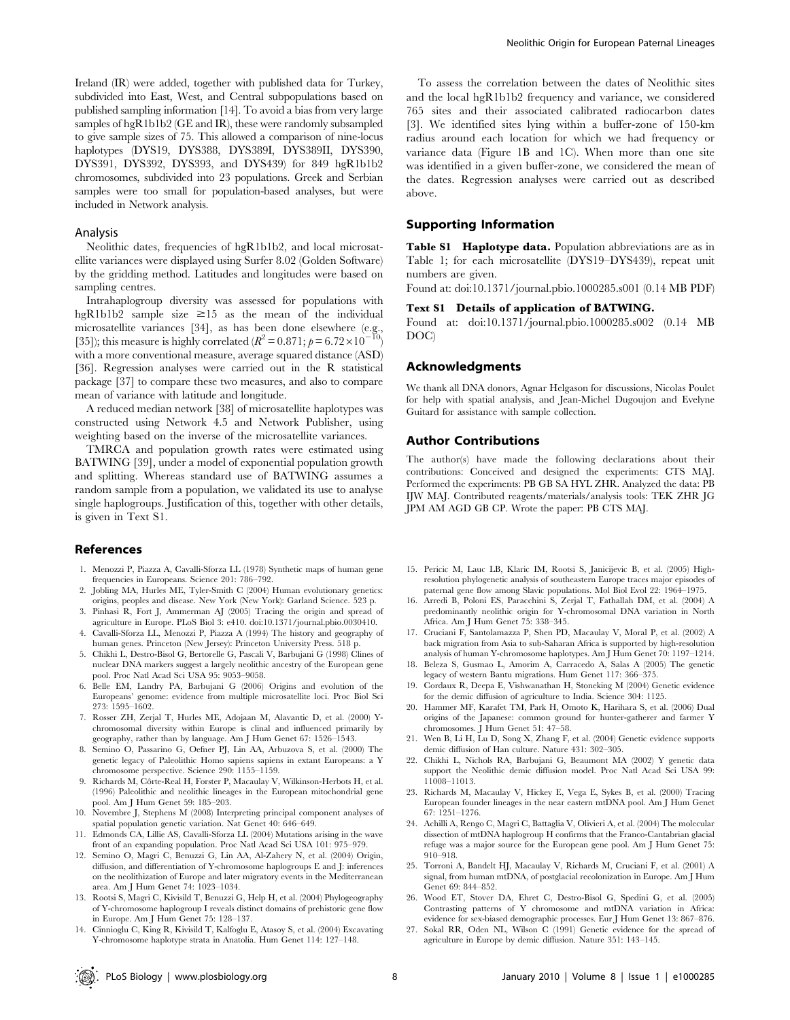Ireland (IR) were added, together with published data for Turkey, subdivided into East, West, and Central subpopulations based on published sampling information [14]. To avoid a bias from very large samples of hgR1b1b2 (GE and IR), these were randomly subsampled to give sample sizes of 75. This allowed a comparison of nine-locus haplotypes (DYS19, DYS388, DYS389I, DYS389II, DYS390, DYS391, DYS392, DYS393, and DYS439) for 849 hgR1b1b2 chromosomes, subdivided into 23 populations. Greek and Serbian samples were too small for population-based analyses, but were included in Network analysis.

### Analysis

Neolithic dates, frequencies of hgR1b1b2, and local microsatellite variances were displayed using Surfer 8.02 (Golden Software) by the gridding method. Latitudes and longitudes were based on sampling centres.

Intrahaplogroup diversity was assessed for populations with hgR1b1b2 sample size  $\geq$ 15 as the mean of the individual microsatellite variances [34], as has been done elsewhere (e.g., [35]); this measure is highly correlated ( $R^2 = 0.871$ ;  $p = 6.72 \times 10^{-10}$ ) with a more conventional measure, average squared distance (ASD) [36]. Regression analyses were carried out in the R statistical package [37] to compare these two measures, and also to compare mean of variance with latitude and longitude.

A reduced median network [38] of microsatellite haplotypes was constructed using Network 4.5 and Network Publisher, using weighting based on the inverse of the microsatellite variances.

TMRCA and population growth rates were estimated using BATWING [39], under a model of exponential population growth and splitting. Whereas standard use of BATWING assumes a random sample from a population, we validated its use to analyse single haplogroups. Justification of this, together with other details, is given in Text S1.

## References

- 1. Menozzi P, Piazza A, Cavalli-Sforza LL (1978) Synthetic maps of human gene frequencies in Europeans. Science 201: 786–792.
- 2. Jobling MA, Hurles ME, Tyler-Smith C (2004) Human evolutionary genetics: origins, peoples and disease. New York (New York): Garland Science. 523 p.
- 3. Pinhasi R, Fort J, Ammerman AJ (2005) Tracing the origin and spread of agriculture in Europe. PLoS Biol 3: e410. doi:10.1371/journal.pbio.0030410.
- 4. Cavalli-Sforza LL, Menozzi P, Piazza A (1994) The history and geography of human genes. Princeton (New Jersey): Princeton University Press. 518 p.
- 5. Chikhi L, Destro-Bisol G, Bertorelle G, Pascali V, Barbujani G (1998) Clines of nuclear DNA markers suggest a largely neolithic ancestry of the European gene pool. Proc Natl Acad Sci USA 95: 9053–9058.
- 6. Belle EM, Landry PA, Barbujani G (2006) Origins and evolution of the Europeans' genome: evidence from multiple microsatellite loci. Proc Biol Sci 273: 1595–1602.
- 7. Rosser ZH, Zerjal T, Hurles ME, Adojaan M, Alavantic D, et al. (2000) Ychromosomal diversity within Europe is clinal and influenced primarily by geography, rather than by language. Am J Hum Genet 67: 1526–1543.
- 8. Semino O, Passarino G, Oefner PJ, Lin AA, Arbuzova S, et al. (2000) The genetic legacy of Paleolithic Homo sapiens sapiens in extant Europeans: a Y chromosome perspective. Science 290: 1155–1159.
- 9. Richards M, Côrte-Real H, Forster P, Macaulay V, Wilkinson-Herbots H, et al. (1996) Paleolithic and neolithic lineages in the European mitochondrial gene pool. Am J Hum Genet 59: 185–203.
- 10. Novembre J, Stephens M (2008) Interpreting principal component analyses of spatial population genetic variation. Nat Genet 40: 646–649.
- 11. Edmonds CA, Lillie AS, Cavalli-Sforza LL (2004) Mutations arising in the wave front of an expanding population. Proc Natl Acad Sci USA 101: 975–979.
- 12. Semino O, Magri C, Benuzzi G, Lin AA, Al-Zahery N, et al. (2004) Origin, diffusion, and differentiation of Y-chromosome haplogroups E and J: inferences on the neolithization of Europe and later migratory events in the Mediterranean area. Am J Hum Genet 74: 1023–1034.
- 13. Rootsi S, Magri C, Kivisild T, Benuzzi G, Help H, et al. (2004) Phylogeography of Y-chromosome haplogroup I reveals distinct domains of prehistoric gene flow in Europe. Am J Hum Genet 75: 128–137.
- 14. Cinnioglu C, King R, Kivisild T, Kalfoglu E, Atasoy S, et al. (2004) Excavating Y-chromosome haplotype strata in Anatolia. Hum Genet 114: 127–148.

To assess the correlation between the dates of Neolithic sites and the local hgR1b1b2 frequency and variance, we considered 765 sites and their associated calibrated radiocarbon dates [3]. We identified sites lying within a buffer-zone of 150-km radius around each location for which we had frequency or variance data (Figure 1B and 1C). When more than one site was identified in a given buffer-zone, we considered the mean of the dates. Regression analyses were carried out as described above.

## Supporting Information

Table S1 Haplotype data. Population abbreviations are as in Table 1; for each microsatellite (DYS19–DYS439), repeat unit numbers are given.

Found at: doi:10.1371/journal.pbio.1000285.s001 (0.14 MB PDF)

### Text S1 Details of application of BATWING.

Found at: doi:10.1371/journal.pbio.1000285.s002 (0.14 MB DOC)

## Acknowledgments

We thank all DNA donors, Agnar Helgason for discussions, Nicolas Poulet for help with spatial analysis, and Jean-Michel Dugoujon and Evelyne Guitard for assistance with sample collection.

## Author Contributions

The author(s) have made the following declarations about their contributions: Conceived and designed the experiments: CTS MAJ. Performed the experiments: PB GB SA HYL ZHR. Analyzed the data: PB IJW MAJ. Contributed reagents/materials/analysis tools: TEK ZHR JG JPM AM AGD GB CP. Wrote the paper: PB CTS MAJ.

- 15. Pericic M, Lauc LB, Klaric IM, Rootsi S, Janicijevic B, et al. (2005) Highresolution phylogenetic analysis of southeastern Europe traces major episodes of paternal gene flow among Slavic populations. Mol Biol Evol 22: 1964–1975.
- 16. Arredi B, Poloni ES, Paracchini S, Zerjal T, Fathallah DM, et al. (2004) A predominantly neolithic origin for Y-chromosomal DNA variation in North Africa. Am J Hum Genet 75: 338–345.
- 17. Cruciani F, Santolamazza P, Shen PD, Macaulay V, Moral P, et al. (2002) A back migration from Asia to sub-Saharan Africa is supported by high-resolution analysis of human Y-chromosome haplotypes. Am J Hum Genet 70: 1197–1214.
- 18. Beleza S, Gusmao L, Amorim A, Carracedo A, Salas A (2005) The genetic legacy of western Bantu migrations. Hum Genet 117: 366–375.
- 19. Cordaux R, Deepa E, Vishwanathan H, Stoneking M (2004) Genetic evidence for the demic diffusion of agriculture to India. Science 304: 1125.
- 20. Hammer MF, Karafet TM, Park H, Omoto K, Harihara S, et al. (2006) Dual origins of the Japanese: common ground for hunter-gatherer and farmer Y chromosomes. J Hum Genet 51: 47–58.
- 21. Wen B, Li H, Lu D, Song X, Zhang F, et al. (2004) Genetic evidence supports demic diffusion of Han culture. Nature 431: 302–305.
- 22. Chikhi L, Nichols RA, Barbujani G, Beaumont MA (2002) Y genetic data support the Neolithic demic diffusion model. Proc Natl Acad Sci USA 99: 11008–11013.
- 23. Richards M, Macaulay V, Hickey E, Vega E, Sykes B, et al. (2000) Tracing European founder lineages in the near eastern mtDNA pool. Am J Hum Genet 67: 1251–1276.
- 24. Achilli A, Rengo C, Magri C, Battaglia V, Olivieri A, et al. (2004) The molecular dissection of mtDNA haplogroup H confirms that the Franco-Cantabrian glacial refuge was a major source for the European gene pool. Am J Hum Genet 75: 910–918.
- 25. Torroni A, Bandelt HJ, Macaulay V, Richards M, Cruciani F, et al. (2001) A signal, from human mtDNA, of postglacial recolonization in Europe. Am J Hum Genet 69: 844–852.
- 26. Wood ET, Stover DA, Ehret C, Destro-Bisol G, Spedini G, et al. (2005) Contrasting patterns of Y chromosome and mtDNA variation in Africa: evidence for sex-biased demographic processes. Eur J Hum Genet 13: 867–876.
- 27. Sokal RR, Oden NL, Wilson C (1991) Genetic evidence for the spread of agriculture in Europe by demic diffusion. Nature 351: 143–145.